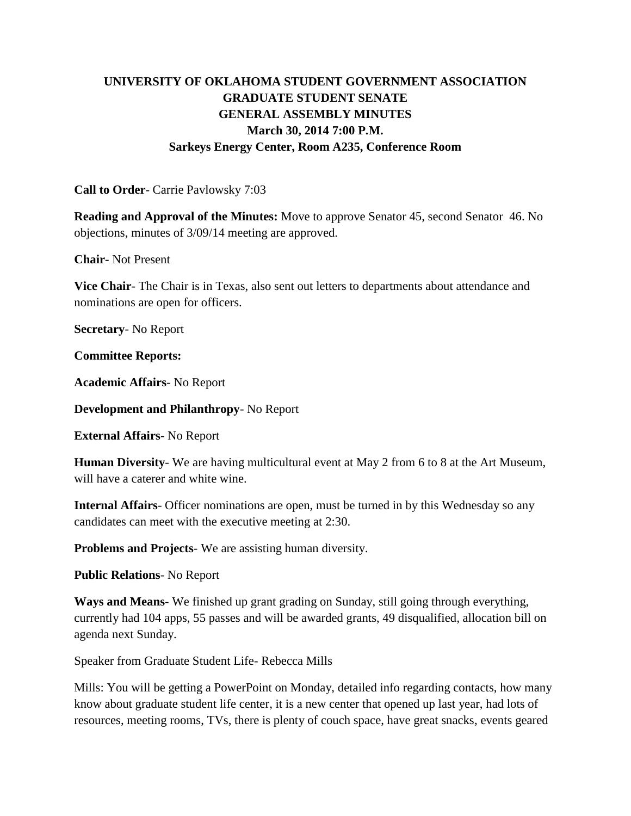# **UNIVERSITY OF OKLAHOMA STUDENT GOVERNMENT ASSOCIATION GRADUATE STUDENT SENATE GENERAL ASSEMBLY MINUTES March 30, 2014 7:00 P.M. Sarkeys Energy Center, Room A235, Conference Room**

### **Call to Order**- Carrie Pavlowsky 7:03

**Reading and Approval of the Minutes:** Move to approve Senator 45, second Senator 46. No objections, minutes of 3/09/14 meeting are approved.

**Chair-** Not Present

**Vice Chair**- The Chair is in Texas, also sent out letters to departments about attendance and nominations are open for officers.

**Secretary**- No Report

**Committee Reports:** 

**Academic Affairs**- No Report

**Development and Philanthropy**- No Report

**External Affairs**- No Report

**Human Diversity**- We are having multicultural event at May 2 from 6 to 8 at the Art Museum, will have a caterer and white wine.

**Internal Affairs**- Officer nominations are open, must be turned in by this Wednesday so any candidates can meet with the executive meeting at 2:30.

**Problems and Projects**- We are assisting human diversity.

**Public Relations**- No Report

**Ways and Means**- We finished up grant grading on Sunday, still going through everything, currently had 104 apps, 55 passes and will be awarded grants, 49 disqualified, allocation bill on agenda next Sunday.

Speaker from Graduate Student Life- Rebecca Mills

Mills: You will be getting a PowerPoint on Monday, detailed info regarding contacts, how many know about graduate student life center, it is a new center that opened up last year, had lots of resources, meeting rooms, TVs, there is plenty of couch space, have great snacks, events geared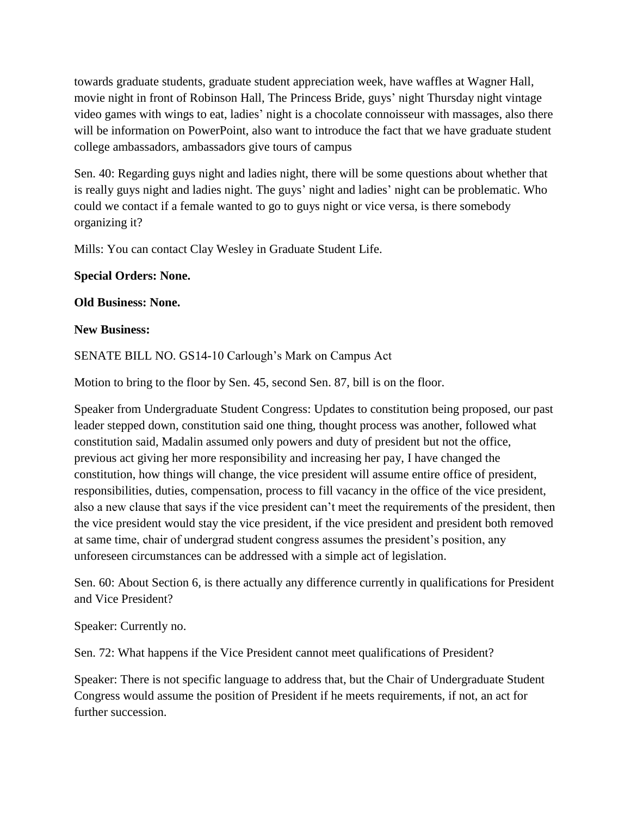towards graduate students, graduate student appreciation week, have waffles at Wagner Hall, movie night in front of Robinson Hall, The Princess Bride, guys' night Thursday night vintage video games with wings to eat, ladies' night is a chocolate connoisseur with massages, also there will be information on PowerPoint, also want to introduce the fact that we have graduate student college ambassadors, ambassadors give tours of campus

Sen. 40: Regarding guys night and ladies night, there will be some questions about whether that is really guys night and ladies night. The guys' night and ladies' night can be problematic. Who could we contact if a female wanted to go to guys night or vice versa, is there somebody organizing it?

Mills: You can contact Clay Wesley in Graduate Student Life.

## **Special Orders: None.**

## **Old Business: None.**

## **New Business:**

SENATE BILL NO. GS14-10 Carlough's Mark on Campus Act

Motion to bring to the floor by Sen. 45, second Sen. 87, bill is on the floor.

Speaker from Undergraduate Student Congress: Updates to constitution being proposed, our past leader stepped down, constitution said one thing, thought process was another, followed what constitution said, Madalin assumed only powers and duty of president but not the office, previous act giving her more responsibility and increasing her pay, I have changed the constitution, how things will change, the vice president will assume entire office of president, responsibilities, duties, compensation, process to fill vacancy in the office of the vice president, also a new clause that says if the vice president can't meet the requirements of the president, then the vice president would stay the vice president, if the vice president and president both removed at same time, chair of undergrad student congress assumes the president's position, any unforeseen circumstances can be addressed with a simple act of legislation.

Sen. 60: About Section 6, is there actually any difference currently in qualifications for President and Vice President?

Speaker: Currently no.

Sen. 72: What happens if the Vice President cannot meet qualifications of President?

Speaker: There is not specific language to address that, but the Chair of Undergraduate Student Congress would assume the position of President if he meets requirements, if not, an act for further succession.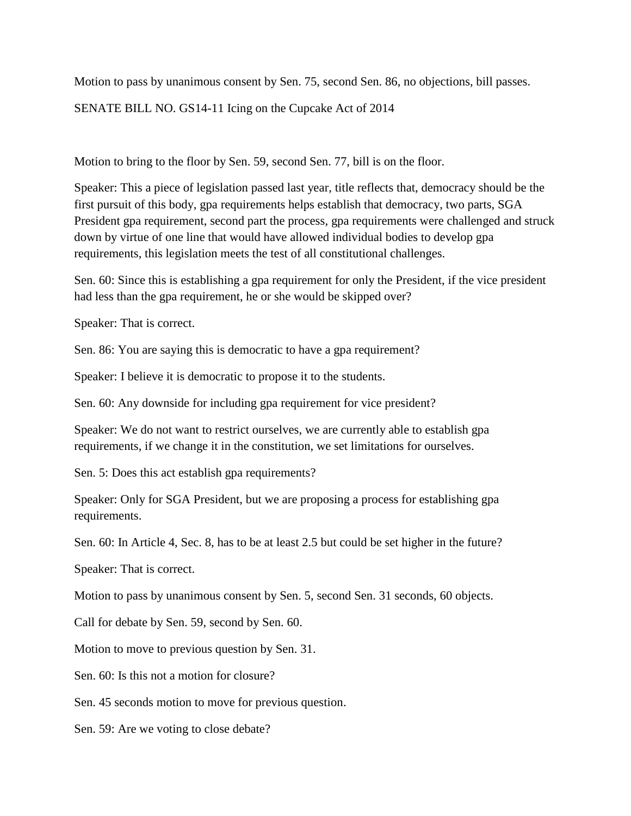Motion to pass by unanimous consent by Sen. 75, second Sen. 86, no objections, bill passes. SENATE BILL NO. GS14-11 Icing on the Cupcake Act of 2014

Motion to bring to the floor by Sen. 59, second Sen. 77, bill is on the floor.

Speaker: This a piece of legislation passed last year, title reflects that, democracy should be the first pursuit of this body, gpa requirements helps establish that democracy, two parts, SGA President gpa requirement, second part the process, gpa requirements were challenged and struck down by virtue of one line that would have allowed individual bodies to develop gpa requirements, this legislation meets the test of all constitutional challenges.

Sen. 60: Since this is establishing a gpa requirement for only the President, if the vice president had less than the gpa requirement, he or she would be skipped over?

Speaker: That is correct.

Sen. 86: You are saying this is democratic to have a gpa requirement?

Speaker: I believe it is democratic to propose it to the students.

Sen. 60: Any downside for including gpa requirement for vice president?

Speaker: We do not want to restrict ourselves, we are currently able to establish gpa requirements, if we change it in the constitution, we set limitations for ourselves.

Sen. 5: Does this act establish gpa requirements?

Speaker: Only for SGA President, but we are proposing a process for establishing gpa requirements.

Sen. 60: In Article 4, Sec. 8, has to be at least 2.5 but could be set higher in the future?

Speaker: That is correct.

Motion to pass by unanimous consent by Sen. 5, second Sen. 31 seconds, 60 objects.

Call for debate by Sen. 59, second by Sen. 60.

Motion to move to previous question by Sen. 31.

Sen. 60: Is this not a motion for closure?

Sen. 45 seconds motion to move for previous question.

Sen. 59: Are we voting to close debate?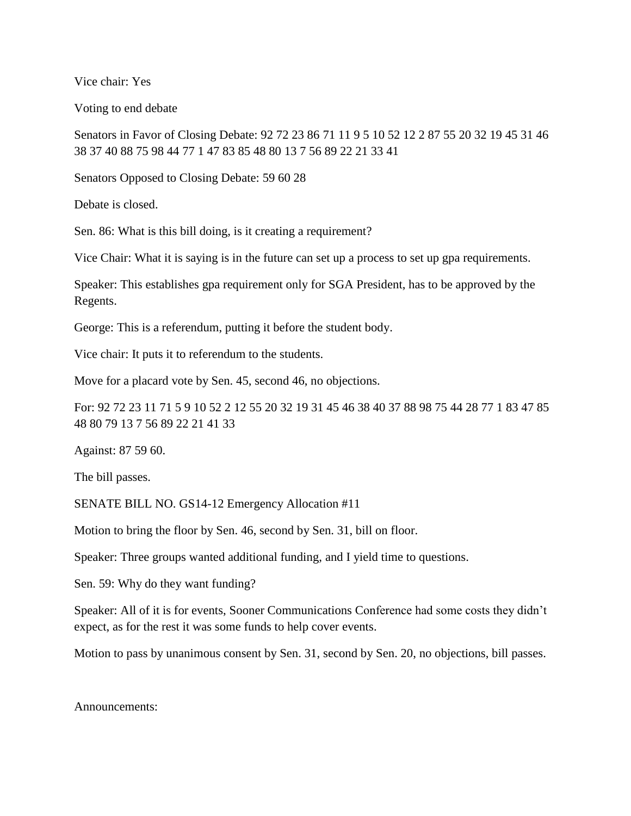Vice chair: Yes

Voting to end debate

Senators in Favor of Closing Debate: 92 72 23 86 71 11 9 5 10 52 12 2 87 55 20 32 19 45 31 46 38 37 40 88 75 98 44 77 1 47 83 85 48 80 13 7 56 89 22 21 33 41

Senators Opposed to Closing Debate: 59 60 28

Debate is closed.

Sen. 86: What is this bill doing, is it creating a requirement?

Vice Chair: What it is saying is in the future can set up a process to set up gpa requirements.

Speaker: This establishes gpa requirement only for SGA President, has to be approved by the Regents.

George: This is a referendum, putting it before the student body.

Vice chair: It puts it to referendum to the students.

Move for a placard vote by Sen. 45, second 46, no objections.

For: 92 72 23 11 71 5 9 10 52 2 12 55 20 32 19 31 45 46 38 40 37 88 98 75 44 28 77 1 83 47 85 48 80 79 13 7 56 89 22 21 41 33

Against: 87 59 60.

The bill passes.

SENATE BILL NO. GS14-12 Emergency Allocation #11

Motion to bring the floor by Sen. 46, second by Sen. 31, bill on floor.

Speaker: Three groups wanted additional funding, and I yield time to questions.

Sen. 59: Why do they want funding?

Speaker: All of it is for events, Sooner Communications Conference had some costs they didn't expect, as for the rest it was some funds to help cover events.

Motion to pass by unanimous consent by Sen. 31, second by Sen. 20, no objections, bill passes.

Announcements: